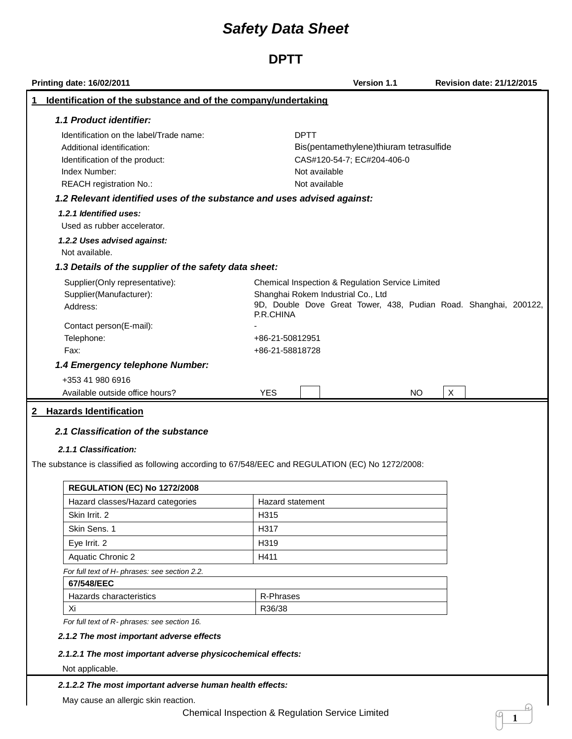**DPTT**

| <b>Printing date: 16/02/2011</b>                                                                                                                                   |                                                 | Version 1.1                                                           | <b>Revision date: 21/12/2015</b>                                 |
|--------------------------------------------------------------------------------------------------------------------------------------------------------------------|-------------------------------------------------|-----------------------------------------------------------------------|------------------------------------------------------------------|
| Identification of the substance and of the company/undertaking<br>1                                                                                                |                                                 |                                                                       |                                                                  |
| 1.1 Product identifier:                                                                                                                                            |                                                 |                                                                       |                                                                  |
| Identification on the label/Trade name:<br>Additional identification:<br>Identification of the product:<br>Index Number:<br>REACH registration No.:                | <b>DPTT</b><br>Not available<br>Not available   | Bis(pentamethylene)thiuram tetrasulfide<br>CAS#120-54-7; EC#204-406-0 |                                                                  |
| 1.2 Relevant identified uses of the substance and uses advised against:                                                                                            |                                                 |                                                                       |                                                                  |
| 1.2.1 Identified uses:<br>Used as rubber accelerator.<br>1.2.2 Uses advised against:                                                                               |                                                 |                                                                       |                                                                  |
| Not available.                                                                                                                                                     |                                                 |                                                                       |                                                                  |
| 1.3 Details of the supplier of the safety data sheet:                                                                                                              |                                                 |                                                                       |                                                                  |
| Supplier(Only representative):<br>Supplier(Manufacturer):<br>Address:                                                                                              | Shanghai Rokem Industrial Co., Ltd<br>P.R.CHINA | Chemical Inspection & Regulation Service Limited                      | 9D, Double Dove Great Tower, 438, Pudian Road. Shanghai, 200122, |
| Contact person(E-mail):<br>Telephone:<br>Fax:                                                                                                                      | +86-21-50812951<br>+86-21-58818728              |                                                                       |                                                                  |
| 1.4 Emergency telephone Number:                                                                                                                                    |                                                 |                                                                       |                                                                  |
| +353 41 980 6916                                                                                                                                                   |                                                 |                                                                       |                                                                  |
| Available outside office hours?                                                                                                                                    | <b>YES</b>                                      | NO                                                                    | $\sf X$                                                          |
| 2.1 Classification of the substance<br>2.1.1 Classification:<br>The substance is classified as following according to 67/548/EEC and REGULATION (EC) No 1272/2008: |                                                 |                                                                       |                                                                  |
| <b>REGULATION (EC) No 1272/2008</b>                                                                                                                                |                                                 |                                                                       |                                                                  |
| Hazard classes/Hazard categories                                                                                                                                   | <b>Hazard statement</b>                         |                                                                       |                                                                  |
| Skin Irrit, 2                                                                                                                                                      | H315                                            |                                                                       |                                                                  |
| Skin Sens, 1                                                                                                                                                       | H317                                            |                                                                       |                                                                  |
| Eye Irrit. 2                                                                                                                                                       | H319                                            |                                                                       |                                                                  |
| Aquatic Chronic 2                                                                                                                                                  | H411                                            |                                                                       |                                                                  |
| For full text of H- phrases: see section 2.2.                                                                                                                      |                                                 |                                                                       |                                                                  |
| 67/548/EEC                                                                                                                                                         |                                                 |                                                                       |                                                                  |
| Hazards characteristics                                                                                                                                            | R-Phrases                                       |                                                                       |                                                                  |
| Xi                                                                                                                                                                 | R36/38                                          |                                                                       |                                                                  |
| For full text of R- phrases: see section 16.                                                                                                                       |                                                 |                                                                       |                                                                  |
| 2.1.2 The most important adverse effects                                                                                                                           |                                                 |                                                                       |                                                                  |
| 2.1.2.1 The most important adverse physicochemical effects:                                                                                                        |                                                 |                                                                       |                                                                  |
| Not applicable.                                                                                                                                                    |                                                 |                                                                       |                                                                  |
| 2.1.2.2 The most important adverse human health effects:                                                                                                           |                                                 |                                                                       |                                                                  |
| May cause an allergic skin reaction.                                                                                                                               |                                                 |                                                                       |                                                                  |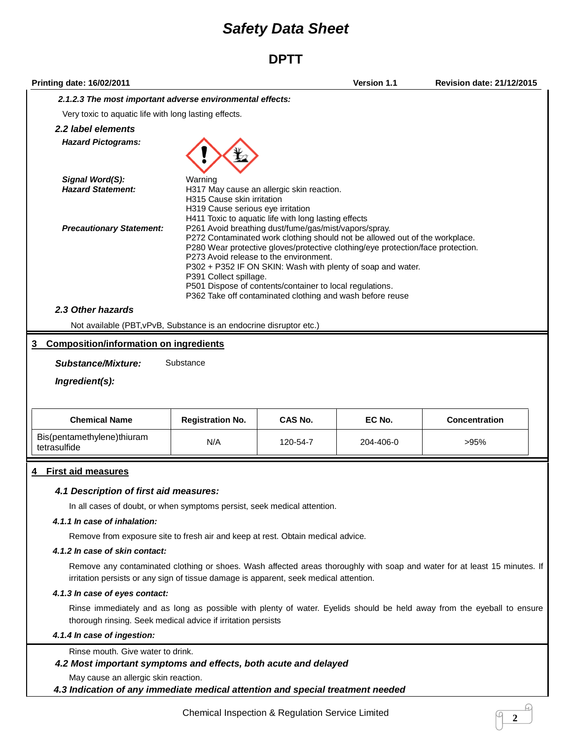### **DPTT**

| Printing date: 16/02/2011                                                             |                                                                            |                                                                                                                                                                                                                          | Version 1.1                                                                                                                                                                                                                   | <b>Revision date: 21/12/2015</b>                                                                                          |
|---------------------------------------------------------------------------------------|----------------------------------------------------------------------------|--------------------------------------------------------------------------------------------------------------------------------------------------------------------------------------------------------------------------|-------------------------------------------------------------------------------------------------------------------------------------------------------------------------------------------------------------------------------|---------------------------------------------------------------------------------------------------------------------------|
| 2.1.2.3 The most important adverse environmental effects:                             |                                                                            |                                                                                                                                                                                                                          |                                                                                                                                                                                                                               |                                                                                                                           |
| Very toxic to aquatic life with long lasting effects.                                 |                                                                            |                                                                                                                                                                                                                          |                                                                                                                                                                                                                               |                                                                                                                           |
| 2.2 label elements                                                                    |                                                                            |                                                                                                                                                                                                                          |                                                                                                                                                                                                                               |                                                                                                                           |
| <b>Hazard Pictograms:</b>                                                             |                                                                            |                                                                                                                                                                                                                          |                                                                                                                                                                                                                               |                                                                                                                           |
| Signal Word(S):<br><b>Hazard Statement:</b>                                           | Warning<br>H315 Cause skin irritation<br>H319 Cause serious eye irritation | H317 May cause an allergic skin reaction.<br>H411 Toxic to aquatic life with long lasting effects                                                                                                                        |                                                                                                                                                                                                                               |                                                                                                                           |
| <b>Precautionary Statement:</b>                                                       | P391 Collect spillage.                                                     | P261 Avoid breathing dust/fume/gas/mist/vapors/spray.<br>P273 Avoid release to the environment.<br>P501 Dispose of contents/container to local regulations.<br>P362 Take off contaminated clothing and wash before reuse | P272 Contaminated work clothing should not be allowed out of the workplace.<br>P280 Wear protective gloves/protective clothing/eye protection/face protection.<br>P302 + P352 IF ON SKIN: Wash with plenty of soap and water. |                                                                                                                           |
| 2.3 Other hazards                                                                     |                                                                            |                                                                                                                                                                                                                          |                                                                                                                                                                                                                               |                                                                                                                           |
| Not available (PBT, vPvB, Substance is an endocrine disruptor etc.)                   |                                                                            |                                                                                                                                                                                                                          |                                                                                                                                                                                                                               |                                                                                                                           |
| <b>Composition/information on ingredients</b><br>3                                    |                                                                            |                                                                                                                                                                                                                          |                                                                                                                                                                                                                               |                                                                                                                           |
|                                                                                       |                                                                            |                                                                                                                                                                                                                          |                                                                                                                                                                                                                               |                                                                                                                           |
| <b>Substance/Mixture:</b><br>Ingredient(s):                                           | Substance                                                                  |                                                                                                                                                                                                                          |                                                                                                                                                                                                                               |                                                                                                                           |
| <b>Chemical Name</b>                                                                  | <b>Registration No.</b>                                                    | <b>CAS No.</b>                                                                                                                                                                                                           | EC No.                                                                                                                                                                                                                        | <b>Concentration</b>                                                                                                      |
| Bis(pentamethylene)thiuram<br>tetrasulfide                                            | N/A                                                                        | 120-54-7                                                                                                                                                                                                                 | 204-406-0                                                                                                                                                                                                                     | >95%                                                                                                                      |
| <b>First aid measures</b>                                                             |                                                                            |                                                                                                                                                                                                                          |                                                                                                                                                                                                                               |                                                                                                                           |
| 4.1 Description of first aid measures:                                                |                                                                            |                                                                                                                                                                                                                          |                                                                                                                                                                                                                               |                                                                                                                           |
| In all cases of doubt, or when symptoms persist, seek medical attention.              |                                                                            |                                                                                                                                                                                                                          |                                                                                                                                                                                                                               |                                                                                                                           |
| 4.1.1 In case of inhalation:                                                          |                                                                            |                                                                                                                                                                                                                          |                                                                                                                                                                                                                               |                                                                                                                           |
| Remove from exposure site to fresh air and keep at rest. Obtain medical advice.       |                                                                            |                                                                                                                                                                                                                          |                                                                                                                                                                                                                               |                                                                                                                           |
| 4.1.2 In case of skin contact:                                                        |                                                                            |                                                                                                                                                                                                                          |                                                                                                                                                                                                                               |                                                                                                                           |
| irritation persists or any sign of tissue damage is apparent, seek medical attention. |                                                                            |                                                                                                                                                                                                                          |                                                                                                                                                                                                                               | Remove any contaminated clothing or shoes. Wash affected areas thoroughly with soap and water for at least 15 minutes. If |
| 4.1.3 In case of eyes contact:                                                        |                                                                            |                                                                                                                                                                                                                          |                                                                                                                                                                                                                               |                                                                                                                           |
|                                                                                       |                                                                            |                                                                                                                                                                                                                          |                                                                                                                                                                                                                               | Bines immediately and as long as possible with planty of water. Evolida abould be hold owny from the ovabell to enou      |

Rinse immediately and as long as possible with plenty of water. Eyelids should be held away from the eyeball to ensure thorough rinsing. Seek medical advice if irritation persists

#### *4.1.4 In case of ingestion:*

Rinse mouth. Give water to drink.

### *4.2 Most important symptoms and effects, both acute and delayed*

May cause an allergic skin reaction.

*4.3 Indication of any immediate medical attention and special treatment needed*

 $\mathcal{L}$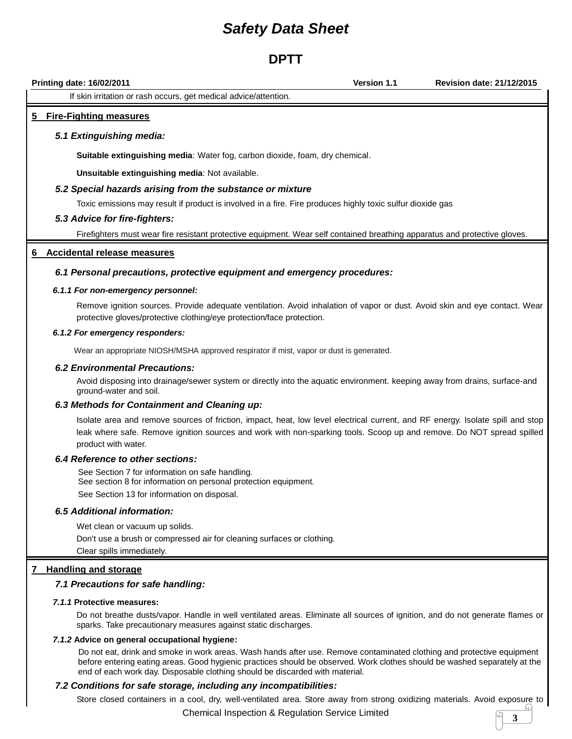### **DPTT**

**Printing date: 16/02/2011 Version 1.1 Revision date: 21/12/2015** If skin irritation or rash occurs, get medical advice/attention. **5 Fire-Fighting measures** *5.1 Extinguishing media:* **Suitable extinguishing media**: Water fog, carbon dioxide, foam, dry chemical. **Unsuitable extinguishing media**: Not available. *5.2 Special hazards arising from the substance or mixture*

Toxic emissions may result if product is involved in a fire. Fire produces highly toxic sulfur dioxide gas

#### *5.3 Advice for fire-fighters:*

Firefighters must wear fire resistant protective equipment. Wear self contained breathing apparatus and protective gloves.

#### **6 Accidental release measures**

#### *6.1 Personal precautions, protective equipment and emergency procedures:*

#### *6.1.1 For non-emergency personnel:*

Remove ignition sources. Provide adequate ventilation. Avoid inhalation of vapor or dust. Avoid skin and eye contact. Wear protective gloves/protective clothing/eye protection/face protection.

#### *6.1.2 For emergency responders:*

Wear an appropriate NIOSH/MSHA approved respirator if mist, vapor or dust is generated.

#### *6.2 Environmental Precautions:*

Avoid disposing into drainage/sewer system or directly into the aquatic environment. keeping away from drains, surface-and ground-water and soil.

#### *6.3 Methods for Containment and Cleaning up:*

Isolate area and remove sources of friction, impact, heat, low level electrical current, and RF energy. Isolate spill and stop leak where safe. Remove ignition sources and work with non-sparking tools. Scoop up and remove. Do NOT spread spilled product with water.

#### *6.4 Reference to other sections:*

See Section 7 for information on safe handling. See section 8 for information on personal protection equipment. See Section 13 for information on disposal.

#### *6.5 Additional information:*

Wet clean or vacuum up solids. Don't use a brush or compressed air for cleaning surfaces or clothing. Clear spills immediately.

#### **7 Handling and storage**

#### *7.1 Precautions for safe handling:*

#### *7.1.1* **Protective measures:**

Do not breathe dusts/vapor. Handle in well ventilated areas. Eliminate all sources of ignition, and do not generate flames or sparks. Take precautionary measures against static discharges.

#### *7.1.2* **Advice on general occupational hygiene:**

Do not eat, drink and smoke in work areas. Wash hands after use. Remove contaminated clothing and protective equipment before entering eating areas. Good hygienic practices should be observed. Work clothes should be washed separately at the end of each work day. Disposable clothing should be discarded with material.

#### *7.2 Conditions for safe storage, including any incompatibilities:*

Store closed containers in a cool, dry, well-ventilated area. Store away from strong oxidizing materials. Avoid exposure to

Chemical Inspection & Regulation Service Limited **<sup>3</sup>**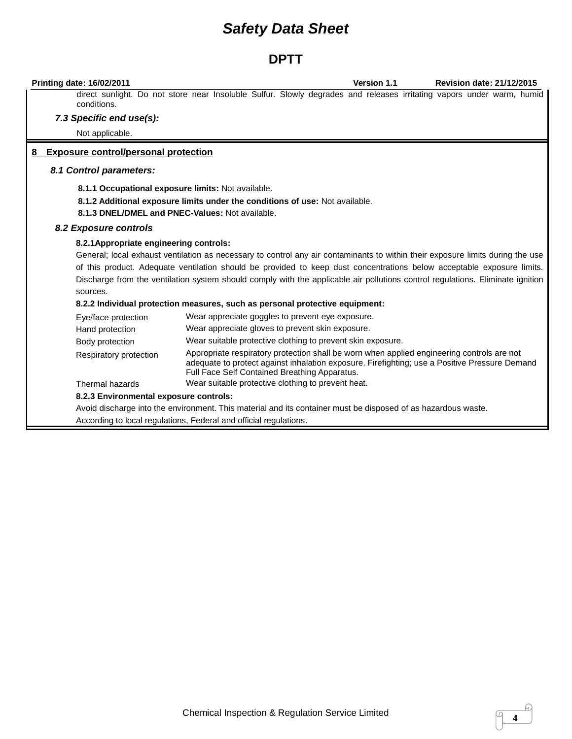### **DPTT**

**Printing date: 16/02/2011 Version 1.1 Revision date: 21/12/2015**

direct sunlight. Do not store near Insoluble Sulfur. Slowly degrades and releases irritating vapors under warm, humid conditions.

#### *7.3 Specific end use(s):*

Not applicable.

#### **8 Exposure control/personal protection**

#### *8.1 Control parameters:*

**8.1.1 Occupational exposure limits:** Not available.

**8.1.2 Additional exposure limits under the conditions of use:** Not available.

**8.1.3 DNEL/DMEL and PNEC-Values:** Not available.

#### *8.2 Exposure controls*

#### **8.2.1Appropriate engineering controls:**

General; local exhaust ventilation as necessary to control any air contaminants to within their exposure limits during the use of this product. Adequate ventilation should be provided to keep dust concentrations below acceptable exposure limits. Discharge from the ventilation system should comply with the applicable air pollutions control regulations. Eliminate ignition sources.

#### **8.2.2 Individual protection measures, such as personal protective equipment:**

| Eye/face protection                    | Wear appreciate goggles to prevent eye exposure.                                                                                                                                                                                             |
|----------------------------------------|----------------------------------------------------------------------------------------------------------------------------------------------------------------------------------------------------------------------------------------------|
| Hand protection                        | Wear appreciate gloves to prevent skin exposure.                                                                                                                                                                                             |
| Body protection                        | Wear suitable protective clothing to prevent skin exposure.                                                                                                                                                                                  |
| Respiratory protection                 | Appropriate respiratory protection shall be worn when applied engineering controls are not<br>adequate to protect against inhalation exposure. Firefighting; use a Positive Pressure Demand<br>Full Face Self Contained Breathing Apparatus. |
| Thermal hazards                        | Wear suitable protective clothing to prevent heat.                                                                                                                                                                                           |
| 8.2.3 Environmental exposure controls: |                                                                                                                                                                                                                                              |
|                                        | Avoid discharge into the environment. This material and its container must be disposed of as hazardous waste.                                                                                                                                |

According to local regulations, Federal and official regulations.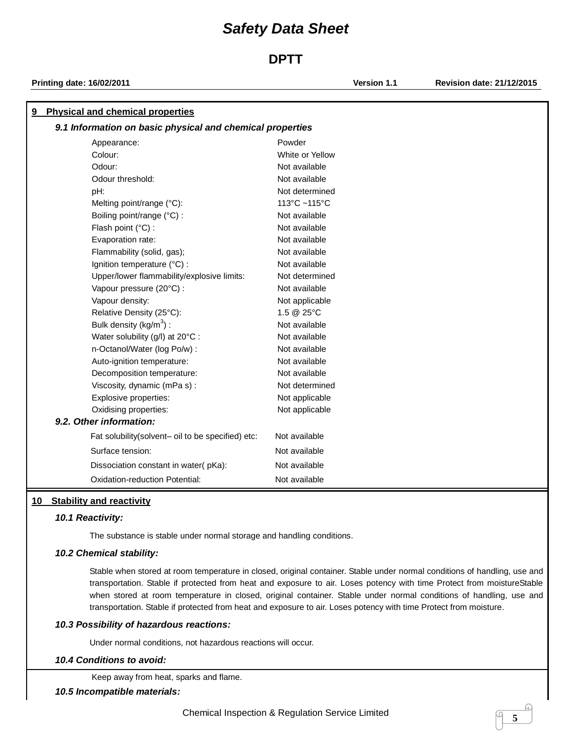### **DPTT**

**Printing date: 16/02/2011 Version 1.1 Revision date: 21/12/2015**

| 9.1 Information on basic physical and chemical properties<br>Powder<br>Appearance:<br>Colour:<br>White or Yellow<br>Odour:<br>Not available<br>Odour threshold:<br>Not available<br>Not determined<br>pH:<br>113°C ~115°C<br>Melting point/range (°C):<br>Not available<br>Boiling point/range (°C) :<br>Not available<br>Flash point (°C) :<br>Not available<br>Evaporation rate:<br>Flammability (solid, gas);<br>Not available<br>Ignition temperature (°C) :<br>Not available<br>Upper/lower flammability/explosive limits:<br>Not determined<br>Vapour pressure (20°C) :<br>Not available<br>Vapour density:<br>Not applicable<br>Relative Density (25°C):<br>1.5 @ 25°C<br>Bulk density ( $kg/m3$ ) :<br>Not available<br>Water solubility (g/l) at 20°C :<br>Not available<br>n-Octanol/Water (log Po/w) :<br>Not available<br>Not available<br>Auto-ignition temperature:<br>Decomposition temperature:<br>Not available<br>Viscosity, dynamic (mPa s):<br>Not determined<br>Explosive properties:<br>Not applicable<br>Oxidising properties:<br>Not applicable<br>9.2. Other information: |  |
|----------------------------------------------------------------------------------------------------------------------------------------------------------------------------------------------------------------------------------------------------------------------------------------------------------------------------------------------------------------------------------------------------------------------------------------------------------------------------------------------------------------------------------------------------------------------------------------------------------------------------------------------------------------------------------------------------------------------------------------------------------------------------------------------------------------------------------------------------------------------------------------------------------------------------------------------------------------------------------------------------------------------------------------------------------------------------------------------------|--|
|                                                                                                                                                                                                                                                                                                                                                                                                                                                                                                                                                                                                                                                                                                                                                                                                                                                                                                                                                                                                                                                                                                    |  |
|                                                                                                                                                                                                                                                                                                                                                                                                                                                                                                                                                                                                                                                                                                                                                                                                                                                                                                                                                                                                                                                                                                    |  |
|                                                                                                                                                                                                                                                                                                                                                                                                                                                                                                                                                                                                                                                                                                                                                                                                                                                                                                                                                                                                                                                                                                    |  |
|                                                                                                                                                                                                                                                                                                                                                                                                                                                                                                                                                                                                                                                                                                                                                                                                                                                                                                                                                                                                                                                                                                    |  |
|                                                                                                                                                                                                                                                                                                                                                                                                                                                                                                                                                                                                                                                                                                                                                                                                                                                                                                                                                                                                                                                                                                    |  |
|                                                                                                                                                                                                                                                                                                                                                                                                                                                                                                                                                                                                                                                                                                                                                                                                                                                                                                                                                                                                                                                                                                    |  |
|                                                                                                                                                                                                                                                                                                                                                                                                                                                                                                                                                                                                                                                                                                                                                                                                                                                                                                                                                                                                                                                                                                    |  |
|                                                                                                                                                                                                                                                                                                                                                                                                                                                                                                                                                                                                                                                                                                                                                                                                                                                                                                                                                                                                                                                                                                    |  |
|                                                                                                                                                                                                                                                                                                                                                                                                                                                                                                                                                                                                                                                                                                                                                                                                                                                                                                                                                                                                                                                                                                    |  |
|                                                                                                                                                                                                                                                                                                                                                                                                                                                                                                                                                                                                                                                                                                                                                                                                                                                                                                                                                                                                                                                                                                    |  |
|                                                                                                                                                                                                                                                                                                                                                                                                                                                                                                                                                                                                                                                                                                                                                                                                                                                                                                                                                                                                                                                                                                    |  |
|                                                                                                                                                                                                                                                                                                                                                                                                                                                                                                                                                                                                                                                                                                                                                                                                                                                                                                                                                                                                                                                                                                    |  |
|                                                                                                                                                                                                                                                                                                                                                                                                                                                                                                                                                                                                                                                                                                                                                                                                                                                                                                                                                                                                                                                                                                    |  |
|                                                                                                                                                                                                                                                                                                                                                                                                                                                                                                                                                                                                                                                                                                                                                                                                                                                                                                                                                                                                                                                                                                    |  |
|                                                                                                                                                                                                                                                                                                                                                                                                                                                                                                                                                                                                                                                                                                                                                                                                                                                                                                                                                                                                                                                                                                    |  |
|                                                                                                                                                                                                                                                                                                                                                                                                                                                                                                                                                                                                                                                                                                                                                                                                                                                                                                                                                                                                                                                                                                    |  |
|                                                                                                                                                                                                                                                                                                                                                                                                                                                                                                                                                                                                                                                                                                                                                                                                                                                                                                                                                                                                                                                                                                    |  |
|                                                                                                                                                                                                                                                                                                                                                                                                                                                                                                                                                                                                                                                                                                                                                                                                                                                                                                                                                                                                                                                                                                    |  |
|                                                                                                                                                                                                                                                                                                                                                                                                                                                                                                                                                                                                                                                                                                                                                                                                                                                                                                                                                                                                                                                                                                    |  |
|                                                                                                                                                                                                                                                                                                                                                                                                                                                                                                                                                                                                                                                                                                                                                                                                                                                                                                                                                                                                                                                                                                    |  |
|                                                                                                                                                                                                                                                                                                                                                                                                                                                                                                                                                                                                                                                                                                                                                                                                                                                                                                                                                                                                                                                                                                    |  |
|                                                                                                                                                                                                                                                                                                                                                                                                                                                                                                                                                                                                                                                                                                                                                                                                                                                                                                                                                                                                                                                                                                    |  |
|                                                                                                                                                                                                                                                                                                                                                                                                                                                                                                                                                                                                                                                                                                                                                                                                                                                                                                                                                                                                                                                                                                    |  |
|                                                                                                                                                                                                                                                                                                                                                                                                                                                                                                                                                                                                                                                                                                                                                                                                                                                                                                                                                                                                                                                                                                    |  |
|                                                                                                                                                                                                                                                                                                                                                                                                                                                                                                                                                                                                                                                                                                                                                                                                                                                                                                                                                                                                                                                                                                    |  |
| Not available<br>Fat solubility(solvent- oil to be specified) etc:                                                                                                                                                                                                                                                                                                                                                                                                                                                                                                                                                                                                                                                                                                                                                                                                                                                                                                                                                                                                                                 |  |
| Surface tension:<br>Not available                                                                                                                                                                                                                                                                                                                                                                                                                                                                                                                                                                                                                                                                                                                                                                                                                                                                                                                                                                                                                                                                  |  |
| Dissociation constant in water(pKa):<br>Not available                                                                                                                                                                                                                                                                                                                                                                                                                                                                                                                                                                                                                                                                                                                                                                                                                                                                                                                                                                                                                                              |  |
| <b>Oxidation-reduction Potential:</b><br>Not available                                                                                                                                                                                                                                                                                                                                                                                                                                                                                                                                                                                                                                                                                                                                                                                                                                                                                                                                                                                                                                             |  |

#### **10 Stability and reactivity**

#### *10.1 Reactivity:*

The substance is stable under normal storage and handling conditions.

#### *10.2 Chemical stability:*

Stable when stored at room temperature in closed, original container. Stable under normal conditions of handling, use and transportation. Stable if protected from heat and exposure to air. Loses potency with time Protect from moistureStable when stored at room temperature in closed, original container. Stable under normal conditions of handling, use and transportation. Stable if protected from heat and exposure to air. Loses potency with time Protect from moisture.

#### *10.3 Possibility of hazardous reactions:*

Under normal conditions, not hazardous reactions will occur.

#### *10.4 Conditions to avoid:*

Keep away from heat, sparks and flame.

#### *10.5 Incompatible materials:*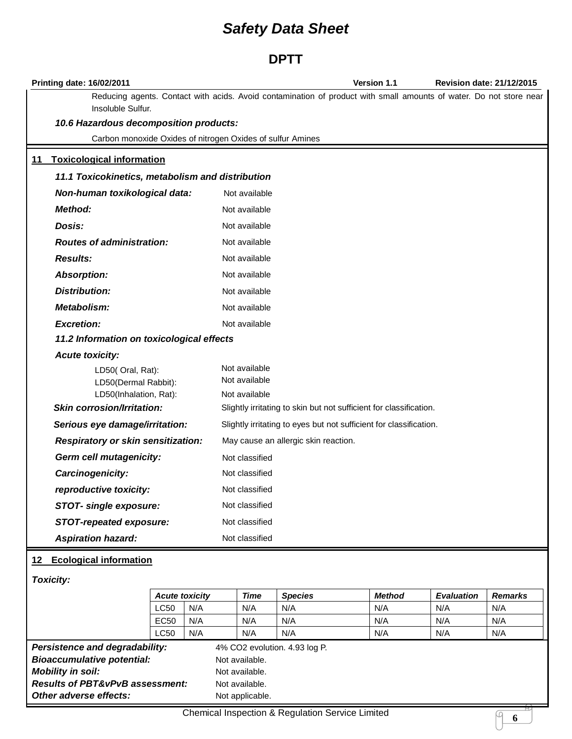### **DPTT**

|           | <b>Printing date: 16/02/2011</b>                           | <b>Version 1.1</b>                                                                                                 | <b>Revision date: 21/12/2015</b> |
|-----------|------------------------------------------------------------|--------------------------------------------------------------------------------------------------------------------|----------------------------------|
|           | Insoluble Sulfur.                                          | Reducing agents. Contact with acids. Avoid contamination of product with small amounts of water. Do not store near |                                  |
|           | 10.6 Hazardous decomposition products:                     |                                                                                                                    |                                  |
|           | Carbon monoxide Oxides of nitrogen Oxides of sulfur Amines |                                                                                                                    |                                  |
| <u>11</u> | <b>Toxicological information</b>                           |                                                                                                                    |                                  |
|           | 11.1 Toxicokinetics, metabolism and distribution           |                                                                                                                    |                                  |
|           | Non-human toxikological data:                              | Not available                                                                                                      |                                  |
|           | <b>Method:</b>                                             | Not available                                                                                                      |                                  |
|           | Dosis:                                                     | Not available                                                                                                      |                                  |
|           | <b>Routes of administration:</b>                           | Not available                                                                                                      |                                  |
|           | <b>Results:</b>                                            | Not available                                                                                                      |                                  |
|           | <b>Absorption:</b>                                         | Not available                                                                                                      |                                  |
|           | <b>Distribution:</b>                                       | Not available                                                                                                      |                                  |
|           | Metabolism:                                                | Not available                                                                                                      |                                  |
|           | <b>Excretion:</b>                                          | Not available                                                                                                      |                                  |
|           | 11.2 Information on toxicological effects                  |                                                                                                                    |                                  |
|           | <b>Acute toxicity:</b>                                     |                                                                                                                    |                                  |
|           | LD50(Oral, Rat):                                           | Not available<br>Not available                                                                                     |                                  |
|           | LD50(Dermal Rabbit):<br>LD50(Inhalation, Rat):             | Not available                                                                                                      |                                  |
|           | <b>Skin corrosion/Irritation:</b>                          | Slightly irritating to skin but not sufficient for classification.                                                 |                                  |
|           | Serious eye damage/irritation:                             | Slightly irritating to eyes but not sufficient for classification.                                                 |                                  |
|           | Respiratory or skin sensitization:                         | May cause an allergic skin reaction.                                                                               |                                  |
|           | Germ cell mutagenicity:                                    | Not classified                                                                                                     |                                  |
|           | Carcinogenicity:                                           | Not classified                                                                                                     |                                  |
|           | reproductive toxicity:                                     | Not classified                                                                                                     |                                  |
|           | STOT- single exposure:                                     | Not classified                                                                                                     |                                  |
|           | <b>STOT-repeated exposure:</b>                             | Not classified                                                                                                     |                                  |
|           | <b>Aspiration hazard:</b>                                  | Not classified                                                                                                     |                                  |

# **12 Ecological information**

| <b>Toxicity:</b>                           |                  |                       |                 |                               |               |                   |                |
|--------------------------------------------|------------------|-----------------------|-----------------|-------------------------------|---------------|-------------------|----------------|
|                                            |                  | <b>Acute toxicity</b> | <b>Time</b>     | <b>Species</b>                | <b>Method</b> | <b>Evaluation</b> | <b>Remarks</b> |
|                                            | LC50             | N/A                   | N/A             | N/A                           | N/A           | N/A               | N/A            |
|                                            | EC <sub>50</sub> | N/A                   | N/A             | N/A                           | N/A           | N/A               | N/A            |
|                                            | <b>LC50</b>      | N/A                   | N/A             | N/A                           | N/A           | N/A               | N/A            |
| <b>Persistence and degradability:</b>      |                  |                       |                 | 4% CO2 evolution. 4.93 log P. |               |                   |                |
| <b>Bioaccumulative potential:</b>          |                  |                       | Not available.  |                               |               |                   |                |
| <b>Mobility in soil:</b>                   |                  |                       | Not available.  |                               |               |                   |                |
| <b>Results of PBT&amp;vPvB assessment:</b> |                  | Not available.        |                 |                               |               |                   |                |
| Other adverse effects:                     |                  |                       | Not applicable. |                               |               |                   |                |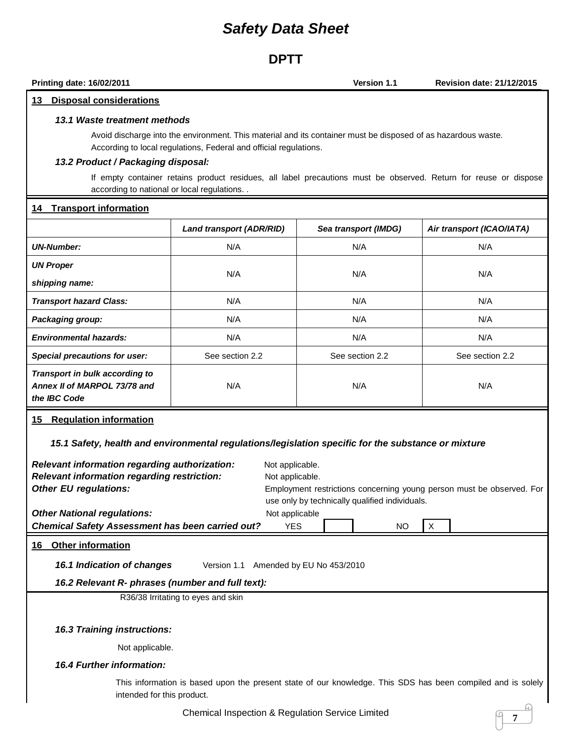### **DPTT**

**Printing date: 16/02/2011 Version 1.1 Revision date: 21/12/2015**

#### **13 Disposal considerations**

#### *13.1 Waste treatment methods*

Avoid discharge into the environment. This material and its container must be disposed of as hazardous waste. According to local regulations, Federal and official regulations.

#### *13.2 Product / Packaging disposal:*

If empty container retains product residues, all label precautions must be observed. Return for reuse or dispose according to national or local regulations. .

#### **14 Transport information**

|                                                                                | <b>Land transport (ADR/RID)</b> | Sea transport (IMDG) | Air transport (ICAO/IATA) |
|--------------------------------------------------------------------------------|---------------------------------|----------------------|---------------------------|
| <b>UN-Number:</b>                                                              | N/A                             | N/A                  | N/A                       |
| <b>UN Proper</b>                                                               | N/A                             | N/A                  | N/A                       |
| shipping name:                                                                 |                                 |                      |                           |
| <b>Transport hazard Class:</b>                                                 | N/A                             | N/A                  | N/A                       |
| Packaging group:                                                               | N/A                             | N/A                  | N/A                       |
| <b>Environmental hazards:</b>                                                  | N/A                             | N/A                  | N/A                       |
| Special precautions for user:                                                  | See section 2.2                 | See section 2.2      | See section 2.2           |
| Transport in bulk according to<br>Annex II of MARPOL 73/78 and<br>the IBC Code | N/A                             | N/A                  | N/A                       |

#### **15 Regulation information**

*15.1 Safety, health and environmental regulations/legislation specific for the substance or mixture*

| Relevant information regarding authorization:<br>Relevant information regarding restriction:<br><b>Other EU regulations:</b> | Not applicable.<br>Not applicable.<br>Employment restrictions concerning young person must be observed. For<br>use only by technically qualified individuals. |
|------------------------------------------------------------------------------------------------------------------------------|---------------------------------------------------------------------------------------------------------------------------------------------------------------|
| <b>Other National regulations:</b><br><b>Chemical Safety Assessment has been carried out?</b>                                | Not applicable<br><b>YES</b><br>$\times$                                                                                                                      |
|                                                                                                                              | <b>NO</b>                                                                                                                                                     |
| Other information<br>16                                                                                                      |                                                                                                                                                               |
| 16.1 Indication of changes<br>Version 1.1                                                                                    | Amended by EU No 453/2010                                                                                                                                     |
| 16.2 Relevant R- phrases (number and full text):                                                                             |                                                                                                                                                               |
| R36/38 Irritating to eyes and skin                                                                                           |                                                                                                                                                               |
|                                                                                                                              |                                                                                                                                                               |
| <b>16.3 Training instructions:</b>                                                                                           |                                                                                                                                                               |
| Not applicable.                                                                                                              |                                                                                                                                                               |
| <b>16.4 Further information:</b>                                                                                             |                                                                                                                                                               |
| intended for this product.                                                                                                   | This information is based upon the present state of our knowledge. This SDS has been compiled and is solely                                                   |
|                                                                                                                              | Chamisal Increation 8 Demiation Centre Limited                                                                                                                |